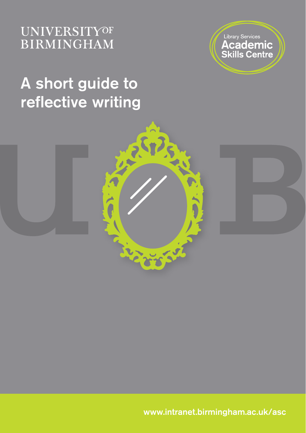### **UNIVERSITYOF BIRMINGHAM**



# A short guide to reflective writing



www.intranet.birmingham.ac.uk/asc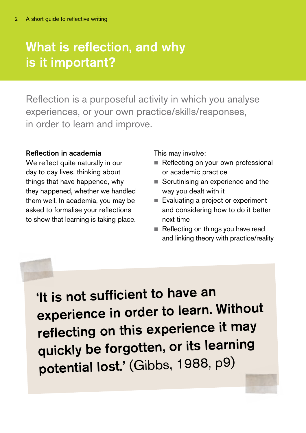## What is reflection, and why is it important?

Reflection is a purposeful activity in which you analyse experiences, or your own practice/skills/responses, in order to learn and improve.

#### Reflection in academia

We reflect quite naturally in our day to day lives, thinking about things that have happened, why they happened, whether we handled them well. In academia, you may be asked to formalise your reflections to show that learning is taking place.

This may involve:

- Reflecting on your own professional or academic practice
- Scrutinising an experience and the way you dealt with it
- Evaluating a project or experiment and considering how to do it better next time
- Reflecting on things you have read and linking theory with practice/reality

'It is not sufficient to have an experience in order to learn. Without reflecting on this experience it may quickly be forgotten, or its learning potential lost.' (Gibbs, 1988, p9)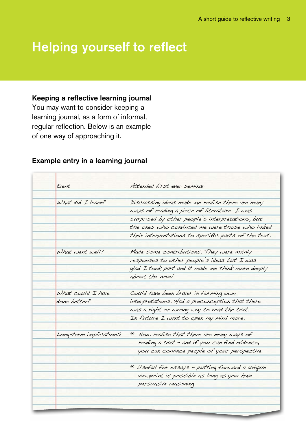### Helping yourself to reflect

#### Keeping a reflective learning journal

You may want to consider keeping a learning journal, as a form of informal, regular reflection. Below is an example of one way of approaching it.

| Event                     | Attended first ever seminar                          |  |
|---------------------------|------------------------------------------------------|--|
| $\omega$ hat did I learn? | Discussing ideas made me realise there are many      |  |
|                           | ways of reading a piece of literature. I was         |  |
|                           | surprised by other people's interpretations, but     |  |
|                           | the ones who convinced me were those who linked      |  |
|                           | their interpretations to specific parts of the text. |  |
| What went well?           | Made some contributions. They were mainly            |  |
|                           | responses to other people's ideas but I was          |  |
|                           | glad I took part and it made me think more deeply    |  |
|                           | about the novel.                                     |  |
| $\omega$ hat could I have | Could have been braver in forming own                |  |
| done better?              | interpretations. Had a preconception that there      |  |
|                           | was a right or wrong way to read the text.           |  |
|                           | In future I want to open my mind more.               |  |
| Long-term implications    | * Now realise that there are many ways of            |  |
|                           | reading a text - and if you can find evidence,       |  |
|                           | you can convince people of your perspective          |  |
|                           | * Useful for essays - putting forward a unique       |  |
|                           | viewpoint is possible as long as you have            |  |
|                           | persuasive reasoning.                                |  |

#### Example entry in a learning journal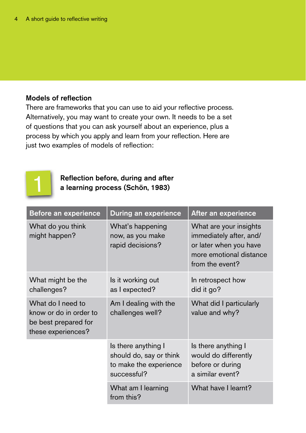#### Models of reflection

There are frameworks that you can use to aid your reflective process. Alternatively, you may want to create your own. It needs to be a set of questions that you can ask yourself about an experience, plus a process by which you apply and learn from your reflection. Here are just two examples of models of reflection:



Reflection before, during and after a learning process (Schön, 1983)

| <b>Before an experience</b>                                                               | <b>During an experience</b>                                                             | After an experience                                                                                                       |
|-------------------------------------------------------------------------------------------|-----------------------------------------------------------------------------------------|---------------------------------------------------------------------------------------------------------------------------|
| What do you think<br>might happen?                                                        | What's happening<br>now, as you make<br>rapid decisions?                                | What are your insights<br>immediately after, and/<br>or later when you have<br>more emotional distance<br>from the event? |
| What might be the<br>challenges?                                                          | Is it working out<br>as I expected?                                                     | In retrospect how<br>did it go?                                                                                           |
| What do I need to<br>know or do in order to<br>be best prepared for<br>these experiences? | Am I dealing with the<br>challenges well?                                               | What did I particularly<br>value and why?                                                                                 |
|                                                                                           | Is there anything I<br>should do, say or think<br>to make the experience<br>successful? | Is there anything I<br>would do differently<br>before or during<br>a similar event?                                       |
|                                                                                           | What am I learning<br>from this?                                                        | What have I learnt?                                                                                                       |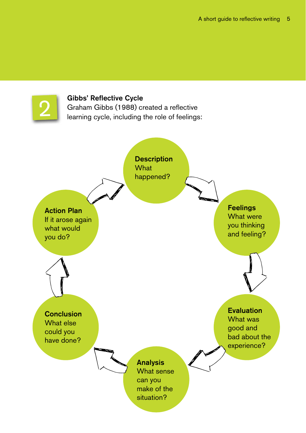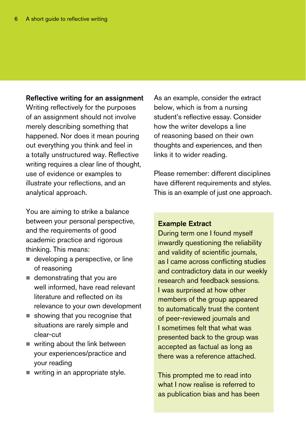#### Reflective writing for an assignment

Writing reflectively for the purposes of an assignment should not involve merely describing something that happened. Nor does it mean pouring out everything you think and feel in a totally unstructured way. Reflective writing requires a clear line of thought, use of evidence or examples to illustrate your reflections, and an analytical approach.

You are aiming to strike a balance between your personal perspective, and the requirements of good academic practice and rigorous thinking. This means:

- developing a perspective, or line of reasoning
- $\blacksquare$  demonstrating that you are well informed, have read relevant literature and reflected on its relevance to your own development
- showing that you recognise that situations are rarely simple and clear-cut
- $\blacksquare$  writing about the link between your experiences/practice and your reading
- writing in an appropriate style.

As an example, consider the extract below, which is from a nursing student's reflective essay. Consider how the writer develops a line of reasoning based on their own thoughts and experiences, and then links it to wider reading.

Please remember: different disciplines have different requirements and styles. This is an example of just one approach.

#### Example Extract

During term one I found myself inwardly questioning the reliability and validity of scientific journals, as I came across conflicting studies and contradictory data in our weekly research and feedback sessions. I was surprised at how other members of the group appeared to automatically trust the content of peer-reviewed journals and I sometimes felt that what was presented back to the group was accepted as factual as long as there was a reference attached.

This prompted me to read into what I now realise is referred to as publication bias and has been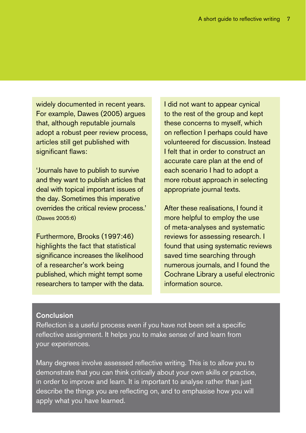widely documented in recent years. For example, Dawes (2005) argues that, although reputable journals adopt a robust peer review process, articles still get published with significant flaws:

'Journals have to publish to survive and they want to publish articles that deal with topical important issues of the day. Sometimes this imperative overrides the critical review process.' (Dawes 2005:6)

Furthermore, Brooks (1997:46) highlights the fact that statistical significance increases the likelihood of a researcher's work being published, which might tempt some researchers to tamper with the data. I did not want to appear cynical to the rest of the group and kept these concerns to myself, which on reflection I perhaps could have volunteered for discussion. Instead I felt that in order to construct an accurate care plan at the end of each scenario I had to adopt a more robust approach in selecting appropriate journal texts.

After these realisations, I found it more helpful to employ the use of meta-analyses and systematic reviews for assessing research. I found that using systematic reviews saved time searching through numerous journals, and I found the Cochrane Library a useful electronic information source.

#### Conclusion

Reflection is a useful process even if you have not been set a specific reflective assignment. It helps you to make sense of and learn from your experiences.

Many degrees involve assessed reflective writing. This is to allow you to demonstrate that you can think critically about your own skills or practice, in order to improve and learn. It is important to analyse rather than just describe the things you are reflecting on, and to emphasise how you will apply what you have learned.